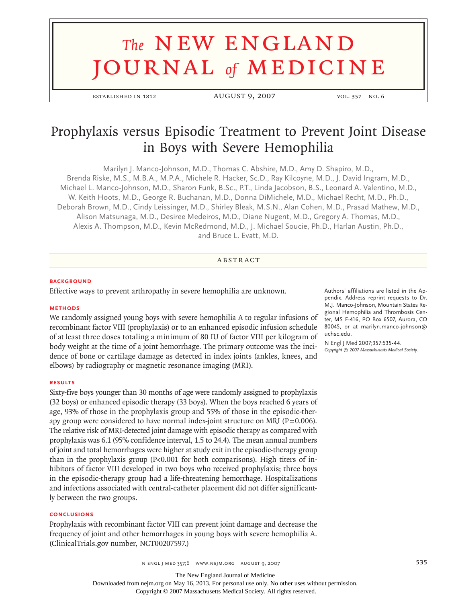# **The NEW ENGLAND** journal *of* medicine

established in 1812 **august 9, 2007** vol. 357 no. 6

# Prophylaxis versus Episodic Treatment to Prevent Joint Disease in Boys with Severe Hemophilia

Marilyn J. Manco-Johnson, M.D., Thomas C. Abshire, M.D., Amy D. Shapiro, M.D., Brenda Riske, M.S., M.B.A., M.P.A., Michele R. Hacker, Sc.D., Ray Kilcoyne, M.D., J. David Ingram, M.D., Michael L. Manco-Johnson, M.D., Sharon Funk, B.Sc., P.T., Linda Jacobson, B.S., Leonard A. Valentino, M.D., W. Keith Hoots, M.D., George R. Buchanan, M.D., Donna DiMichele, M.D., Michael Recht, M.D., Ph.D., Deborah Brown, M.D., Cindy Leissinger, M.D., Shirley Bleak, M.S.N., Alan Cohen, M.D., Prasad Mathew, M.D., Alison Matsunaga, M.D., Desiree Medeiros, M.D., Diane Nugent, M.D., Gregory A. Thomas, M.D., Alexis A. Thompson, M.D., Kevin McRedmond, M.D., J. Michael Soucie, Ph.D., Harlan Austin, Ph.D., and Bruce L. Evatt, M.D.

# **ABSTRACT**

#### **BACKGROUND**

Effective ways to prevent arthropathy in severe hemophilia are unknown.

#### **Methods**

We randomly assigned young boys with severe hemophilia A to regular infusions of recombinant factor VIII (prophylaxis) or to an enhanced episodic infusion schedule of at least three doses totaling a minimum of 80 IU of factor VIII per kilogram of body weight at the time of a joint hemorrhage. The primary outcome was the incidence of bone or cartilage damage as detected in index joints (ankles, knees, and elbows) by radiography or magnetic resonance imaging (MRI).

#### **Results**

Sixty-five boys younger than 30 months of age were randomly assigned to prophylaxis (32 boys) or enhanced episodic therapy (33 boys). When the boys reached 6 years of age, 93% of those in the prophylaxis group and 55% of those in the episodic-therapy group were considered to have normal index-joint structure on MRI ( $P=0.006$ ). The relative risk of MRI-detected joint damage with episodic therapy as compared with prophylaxis was 6.1 (95% confidence interval, 1.5 to 24.4). The mean annual numbers of joint and total hemorrhages were higher at study exit in the episodic-therapy group than in the prophylaxis group (P<0.001 for both comparisons). High titers of inhibitors of factor VIII developed in two boys who received prophylaxis; three boys in the episodic-therapy group had a life-threatening hemorrhage. Hospitalizations and infections associated with central-catheter placement did not differ significantly between the two groups.

### **Conclusions**

Prophylaxis with recombinant factor VIII can prevent joint damage and decrease the frequency of joint and other hemorrhages in young boys with severe hemophilia A. (ClinicalTrials.gov number, NCT00207597.)

Authors' affiliations are listed in the Appendix. Address reprint requests to Dr. M.J. Manco-Johnson, Mountain States Regional Hemophilia and Thrombosis Center, MS F-416, PO Box 6507, Aurora, CO 80045, or at marilyn.manco-johnson@ uchsc.edu.

N Engl J Med 2007;357:535-44. *Copyright © 2007 Massachusetts Medical Society.*

n engl j med 357;6 www.nejm.org august 9, 2007 535

The New England Journal of Medicine

Downloaded from nejm.org on May 16, 2013. For personal use only. No other uses without permission.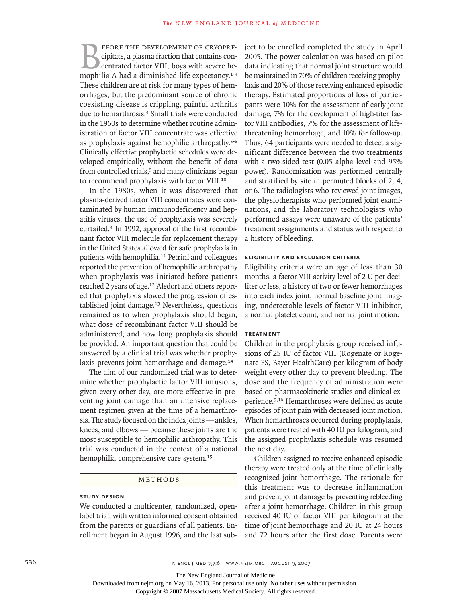**BEFORE THE DEVELOPMENT OF CRYOPRE-**<br>cipitate, a plasma fraction that contains con-<br>centrated factor VIII, boys with severe he-<br>mophilia A had a diminished life expectancy.<sup>1-3</sup> cipitate, a plasma fraction that contains concentrated factor VIII, boys with severe hemophilia A had a diminished life expectancy.<sup>1-3</sup> These children are at risk for many types of hemorrhages, but the predominant source of chronic coexisting disease is crippling, painful arthritis due to hemarthrosis.<sup>4</sup> Small trials were conducted in the 1960s to determine whether routine administration of factor VIII concentrate was effective as prophylaxis against hemophilic arthropathy.5-8 Clinically effective prophylactic schedules were developed empirically, without the benefit of data from controlled trials,<sup>9</sup> and many clinicians began to recommend prophylaxis with factor VIII.<sup>10</sup>

In the 1980s, when it was discovered that plasma-derived factor VIII concentrates were contaminated by human immunodeficiency and hepatitis viruses, the use of prophylaxis was severely curtailed.4 In 1992, approval of the first recombinant factor VIII molecule for replacement therapy in the United States allowed for safe prophylaxis in patients with hemophilia.<sup>11</sup> Petrini and colleagues reported the prevention of hemophilic arthropathy when prophylaxis was initiated before patients reached 2 years of age.<sup>12</sup> Aledort and others reported that prophylaxis slowed the progression of established joint damage.13 Nevertheless, questions remained as to when prophylaxis should begin, what dose of recombinant factor VIII should be administered, and how long prophylaxis should be provided. An important question that could be answered by a clinical trial was whether prophylaxis prevents joint hemorrhage and damage.<sup>14</sup>

The aim of our randomized trial was to determine whether prophylactic factor VIII infusions, given every other day, are more effective in preventing joint damage than an intensive replacement regimen given at the time of a hemarthrosis. The study focused on the index joints — ankles, knees, and elbows — because these joints are the most susceptible to hemophilic arthropathy. This trial was conducted in the context of a national hemophilia comprehensive care system.<sup>15</sup>

# METHODS

#### **Study Design**

We conducted a multicenter, randomized, openlabel trial, with written informed consent obtained from the parents or guardians of all patients. Enrollment began in August 1996, and the last subject to be enrolled completed the study in April 2005. The power calculation was based on pilot data indicating that normal joint structure would be maintained in 70% of children receiving prophylaxis and 20% of those receiving enhanced episodic therapy. Estimated proportions of loss of participants were 10% for the assessment of early joint damage, 7% for the development of high-titer factor VIII antibodies, 7% for the assessment of lifethreatening hemorrhage, and 10% for follow-up. Thus, 64 participants were needed to detect a significant difference between the two treatments with a two-sided test (0.05 alpha level and 95% power). Randomization was performed centrally and stratified by site in permuted blocks of 2, 4, or 6. The radiologists who reviewed joint images, the physiotherapists who performed joint examinations, and the laboratory technologists who performed assays were unaware of the patients' treatment assignments and status with respect to a history of bleeding.

#### **Eligibility and Exclusion Criteria**

Eligibility criteria were an age of less than 30 months, a factor VIII activity level of 2 U per deciliter or less, a history of two or fewer hemorrhages into each index joint, normal baseline joint imaging, undetectable levels of factor VIII inhibitor, a normal platelet count, and normal joint motion.

# **Treatment**

Children in the prophylaxis group received infusions of 25 IU of factor VIII (Kogenate or Kogenate FS, Bayer HealthCare) per kilogram of body weight every other day to prevent bleeding. The dose and the frequency of administration were based on pharmacokinetic studies and clinical experience.9,16 Hemarthroses were defined as acute episodes of joint pain with decreased joint motion. When hemarthroses occurred during prophylaxis, patients were treated with 40 IU per kilogram, and the assigned prophylaxis schedule was resumed the next day.

Children assigned to receive enhanced episodic therapy were treated only at the time of clinically recognized joint hemorrhage. The rationale for this treatment was to decrease inflammation and prevent joint damage by preventing rebleeding after a joint hemorrhage. Children in this group received 40 IU of factor VIII per kilogram at the time of joint hemorrhage and 20 IU at 24 hours and 72 hours after the first dose. Parents were

536 **between the 357;6 www.neim.org august 9, 2007** N ENGL J MED 357;6 WWW.NEJM.ORG AUGUST 9, 2007

The New England Journal of Medicine

Downloaded from nejm.org on May 16, 2013. For personal use only. No other uses without permission.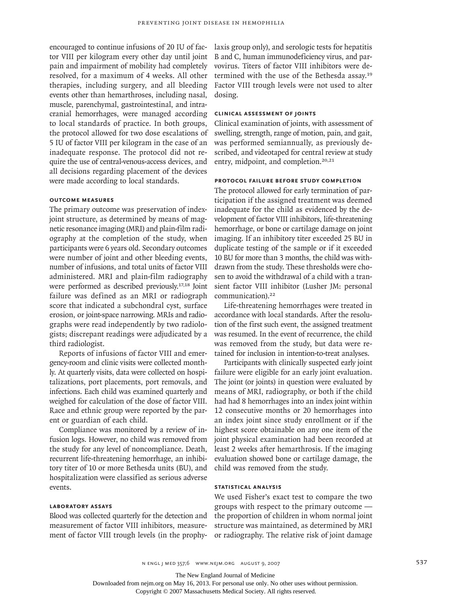encouraged to continue infusions of 20 IU of factor VIII per kilogram every other day until joint pain and impairment of mobility had completely resolved, for a maximum of 4 weeks. All other therapies, including surgery, and all bleeding events other than hemarthroses, including nasal, muscle, parenchymal, gastrointestinal, and intracranial hemorrhages, were managed according to local standards of practice. In both groups, the protocol allowed for two dose escalations of 5 IU of factor VIII per kilogram in the case of an inadequate response. The protocol did not require the use of central-venous-access devices, and all decisions regarding placement of the devices were made according to local standards.

#### **Outcome Measures**

The primary outcome was preservation of indexjoint structure, as determined by means of magnetic resonance imaging (MRI) and plain-film radiography at the completion of the study, when participants were 6 years old. Secondary outcomes were number of joint and other bleeding events, number of infusions, and total units of factor VIII administered. MRI and plain-film radiography were performed as described previously.17,18 Joint failure was defined as an MRI or radiograph score that indicated a subchondral cyst, surface erosion, or joint-space narrowing. MRIs and radiographs were read independently by two radiologists; discrepant readings were adjudicated by a third radiologist.

Reports of infusions of factor VIII and emergency-room and clinic visits were collected monthly. At quarterly visits, data were collected on hospitalizations, port placements, port removals, and infections. Each child was examined quarterly and weighed for calculation of the dose of factor VIII. Race and ethnic group were reported by the parent or guardian of each child.

Compliance was monitored by a review of infusion logs. However, no child was removed from the study for any level of noncompliance. Death, recurrent life-threatening hemorrhage, an inhibitory titer of 10 or more Bethesda units (BU), and hospitalization were classified as serious adverse events.

#### **Laboratory Assays**

Blood was collected quarterly for the detection and measurement of factor VIII inhibitors, measurement of factor VIII trough levels (in the prophylaxis group only), and serologic tests for hepatitis B and C, human immunodeficiency virus, and parvovirus. Titers of factor VIII inhibitors were determined with the use of the Bethesda assay.<sup>19</sup> Factor VIII trough levels were not used to alter dosing.

# **Clinical Assessment of Joints**

Clinical examination of joints, with assessment of swelling, strength, range of motion, pain, and gait, was performed semiannually, as previously described, and videotaped for central review at study entry, midpoint, and completion.<sup>20,21</sup>

#### **Protocol Failure before Study Completion**

The protocol allowed for early termination of participation if the assigned treatment was deemed inadequate for the child as evidenced by the development of factor VIII inhibitors, life-threatening hemorrhage, or bone or cartilage damage on joint imaging. If an inhibitory titer exceeded 25 BU in duplicate testing of the sample or if it exceeded 10 BU for more than 3 months, the child was withdrawn from the study. These thresholds were chosen to avoid the withdrawal of a child with a transient factor VIII inhibitor (Lusher JM: personal communication).<sup>22</sup>

Life-threatening hemorrhages were treated in accordance with local standards. After the resolution of the first such event, the assigned treatment was resumed. In the event of recurrence, the child was removed from the study, but data were retained for inclusion in intention-to-treat analyses.

Participants with clinically suspected early joint failure were eligible for an early joint evaluation. The joint (or joints) in question were evaluated by means of MRI, radiography, or both if the child had had 8 hemorrhages into an index joint within 12 consecutive months or 20 hemorrhages into an index joint since study enrollment or if the highest score obtainable on any one item of the joint physical examination had been recorded at least 2 weeks after hemarthrosis. If the imaging evaluation showed bone or cartilage damage, the child was removed from the study.

#### **Statistical Analysis**

We used Fisher's exact test to compare the two groups with respect to the primary outcome the proportion of children in whom normal joint structure was maintained, as determined by MRI or radiography. The relative risk of joint damage

The New England Journal of Medicine

Downloaded from nejm.org on May 16, 2013. For personal use only. No other uses without permission.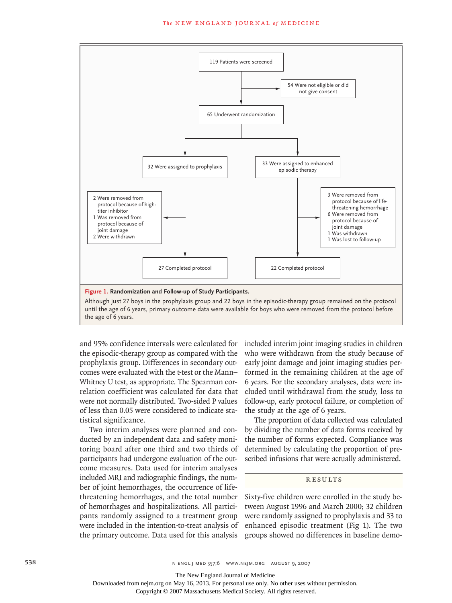

and 95% confidence intervals were calculated for the episodic-therapy group as compared with the prophylaxis group. Differences in secondary outcomes were evaluated with the t-test or the Mann– Whitney U test, as appropriate. The Spearman cor- 6 years. For the relation coefficient was calculated for data that were not normally distributed. Two-sided P values of less than 0.05 were considered to indicate statistical significance.

Two interim analyses were planned and conducted by an independent data and safety monitoring board after one third and two thirds of participants had undergone evaluation of the outcome measures. Data used for interim analyses included MRI and radiographic findings, the number of joint hemorrhages, the occurrence of lifethreatening hemorrhages, and the total number of hemorrhages and hospitalizations. All participants randomly assigned to a treatment group were included in the intention-to-treat analysis of the primary outcome. Data used for this analysis

included interim joint imaging studies in children who were withdrawn from the study because of **EXECUTE:** THE TWE THE REDRAMA TECH THE CELL, SUGLISHED OF RECONDITIONS IN SECTION 18 AUTHOR, PRESENT THE REDRAWN AND THE RECONDITIONS OF RECONDITIONS OF A LIGHT OF RECONDITIONS OF RECONDITIONS OF RECONDITIONS OF A LIGHT O Aann- formed in the remaining children at the age of 6 years. For the secondary analyses, data were included until withdrawal from the study, loss to follow-up, early protocol failure, or completion of the study at the age of 6 years.

> The proportion of data collected was calculated by dividing the number of data forms received by the number of forms expected. Compliance was determined by calculating the proportion of prescribed infusions that were actually administered.

# R esult s

Sixty-five children were enrolled in the study between August 1996 and March 2000; 32 children were randomly assigned to prophylaxis and 33 to enhanced episodic treatment (Fig 1). The two groups showed no differences in baseline demo-

The New England Journal of Medicine

Downloaded from nejm.org on May 16, 2013. For personal use only. No other uses without permission.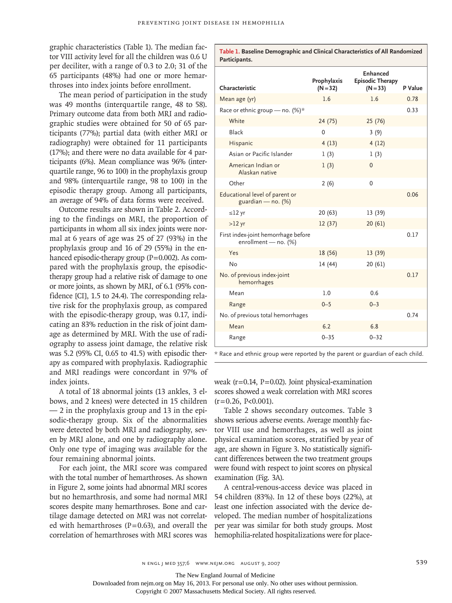**Participants.**

graphic characteristics (Table 1). The median factor VIII activity level for all the children was 0.6 U per deciliter, with a range of 0.3 to 2.0; 31 of the 65 participants (48%) had one or more hemarthroses into index joints before enrollment.

The mean period of participation in the study was 49 months (interquartile range, 48 to 58). Primary outcome data from both MRI and radiographic studies were obtained for 50 of 65 participants (77%); partial data (with either MRI or radiography) were obtained for 11 participants (17%); and there were no data available for 4 participants (6%). Mean compliance was 96% (interquartile range, 96 to 100) in the prophylaxis group and 98% (interquartile range, 98 to 100) in the episodic therapy group. Among all participants, an average of 94% of data forms were received.

Outcome results are shown in Table 2. According to the findings on MRI, the proportion of participants in whom all six index joints were normal at 6 years of age was 25 of 27 (93%) in the prophylaxis group and 16 of 29 (55%) in the enhanced episodic-therapy group  $(P=0.002)$ . As compared with the prophylaxis group, the episodictherapy group had a relative risk of damage to one or more joints, as shown by MRI, of 6.1 (95% confidence [CI], 1.5 to 24.4). The corresponding relative risk for the prophylaxis group, as compared with the episodic-therapy group, was 0.17, indicating an 83% reduction in the risk of joint damage as determined by MRI. With the use of radiography to assess joint damage, the relative risk was 5.2 (95% CI, 0.65 to 41.5) with episodic therapy as compared with prophylaxis. Radiographic and MRI readings were concordant in 97% of index joints.

A total of 18 abnormal joints (13 ankles, 3 elbows, and 2 knees) were detected in 15 children — 2 in the prophylaxis group and 13 in the episodic-therapy group. Six of the abnormalities were detected by both MRI and radiography, seven by MRI alone, and one by radiography alone. Only one type of imaging was available for the four remaining abnormal joints.

For each joint, the MRI score was compared with the total number of hemarthroses. As shown in Figure 2, some joints had abnormal MRI scores but no hemarthrosis, and some had normal MRI scores despite many hemarthroses. Bone and cartilage damage detected on MRI was not correlated with hemarthroses  $(P=0.63)$ , and overall the correlation of hemarthroses with MRI scores was

| Characteristic                                              | Prophylaxis<br>$(N = 32)$ | Enhanced<br><b>Episodic Therapy</b><br>$(N = 33)$ | P Value |
|-------------------------------------------------------------|---------------------------|---------------------------------------------------|---------|
| Mean age (yr)                                               | 1.6                       | 1.6                                               | 0.78    |
| Race or ethnic group - no. $(\%)^*$                         |                           |                                                   | 0.33    |
| White                                                       | 24 (75)                   | 25 (76)                                           |         |
| Black                                                       | 0                         | 3(9)                                              |         |
| Hispanic                                                    | 4(13)                     | 4(12)                                             |         |
| Asian or Pacific Islander                                   | 1(3)                      | 1(3)                                              |         |
| American Indian or<br>Alaskan native                        | 1(3)                      | $\mathbf{0}$                                      |         |
| Other                                                       | 2(6)                      | 0                                                 |         |
| Educational level of parent or<br>guardian - no. (%)        |                           |                                                   | 0.06    |
| $\leq$ 12 yr                                                | 20(63)                    | 13 (39)                                           |         |
| $>12$ yr                                                    | 12(37)                    | 20(61)                                            |         |
| First index-joint hemorrhage before<br>enrollment - no. (%) |                           |                                                   | 0.17    |
| Yes                                                         | 18 (56)                   | 13(39)                                            |         |
| <b>No</b>                                                   | 14(44)                    | 20(61)                                            |         |
| No. of previous index-joint<br>hemorrhages                  |                           |                                                   | 0.17    |
| Mean                                                        | 1.0                       | 0.6                                               |         |
| Range                                                       | $0 - 5$                   | $0 - 3$                                           |         |
| No. of previous total hemorrhages                           |                           |                                                   | 0.74    |
| Mean                                                        | 6.2                       | 6.8                                               |         |
| Range                                                       | $0 - 35$                  | $0 - 32$                                          |         |

**Table 1. Baseline Demographic and Clinical Characteristics of All Randomized** 

\* Race and ethnic group were reported by the parent or guardian of each child.

weak (r=0.14, P=0.02). Joint physical-examination scores showed a weak correlation with MRI scores  $(r=0.26, P<0.001)$ .

Table 2 shows secondary outcomes. Table 3 shows serious adverse events. Average monthly factor VIII use and hemorrhages, as well as joint physical examination scores, stratified by year of age, are shown in Figure 3. No statistically significant differences between the two treatment groups were found with respect to joint scores on physical examination (Fig. 3A).

A central-venous-access device was placed in 54 children (83%). In 12 of these boys (22%), at least one infection associated with the device developed. The median number of hospitalizations per year was similar for both study groups. Most hemophilia-related hospitalizations were for place-

The New England Journal of Medicine

Downloaded from nejm.org on May 16, 2013. For personal use only. No other uses without permission.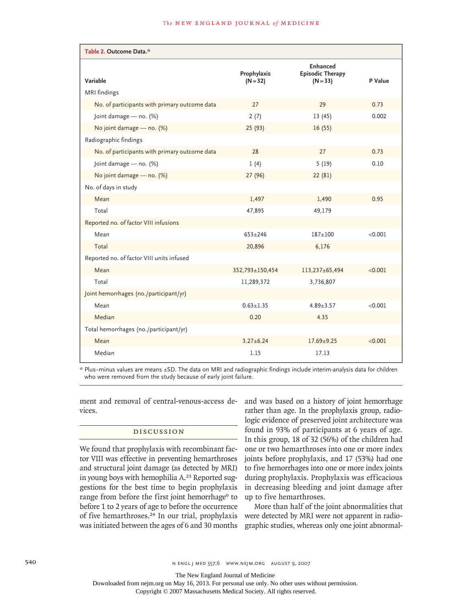| Table 2. Outcome Data.*                       |                           |                                                   |         |  |  |  |
|-----------------------------------------------|---------------------------|---------------------------------------------------|---------|--|--|--|
| Variable                                      | Prophylaxis<br>$(N = 32)$ | Enhanced<br><b>Episodic Therapy</b><br>$(N = 33)$ | P Value |  |  |  |
| MRI findings                                  |                           |                                                   |         |  |  |  |
| No. of participants with primary outcome data | 27                        | 29                                                | 0.73    |  |  |  |
| Joint damage - no. (%)                        | 2(7)                      | 13(45)                                            | 0.002   |  |  |  |
| No joint damage - no. (%)                     | 25 (93)                   | 16(55)                                            |         |  |  |  |
| Radiographic findings                         |                           |                                                   |         |  |  |  |
| No. of participants with primary outcome data | 28                        | 27                                                | 0.73    |  |  |  |
| Joint damage - no. (%)                        | 1(4)                      | 5(19)                                             | 0.10    |  |  |  |
| No joint damage - no. (%)                     | 27(96)                    | 22(81)                                            |         |  |  |  |
| No. of days in study                          |                           |                                                   |         |  |  |  |
| Mean                                          | 1,497                     | 1,490                                             | 0.95    |  |  |  |
| Total                                         | 47,895                    | 49,179                                            |         |  |  |  |
| Reported no. of factor VIII infusions         |                           |                                                   |         |  |  |  |
| Mean                                          | $653 + 246$               | 187±100                                           | < 0.001 |  |  |  |
| Total                                         | 20,896                    | 6,176                                             |         |  |  |  |
| Reported no. of factor VIII units infused     |                           |                                                   |         |  |  |  |
| Mean                                          | 352,793±150,454           | 113,237±65,494                                    | < 0.001 |  |  |  |
| Total                                         | 11,289,372                | 3,736,807                                         |         |  |  |  |
| Joint hemorrhages (no./participant/yr)        |                           |                                                   |         |  |  |  |
| Mean                                          | $0.63 + 1.35$             | $4.89 \pm 3.57$                                   | < 0.001 |  |  |  |
| Median                                        | 0.20                      | 4.35                                              |         |  |  |  |
| Total hemorrhages (no./participant/yr)        |                           |                                                   |         |  |  |  |
| Mean                                          | $3.27 \pm 6.24$           | $17.69 + 9.25$                                    | < 0.001 |  |  |  |
| Median                                        | 1.15                      | 17.13                                             |         |  |  |  |

\* Plus–minus values are means ±SD. The data on MRI and radiographic findings include interim-analysis data for children who were removed from the study because of early joint failure.

ment and removal of central-venous-access devices.

# Discussion

We found that prophylaxis with recombinant factor VIII was effective in preventing hemarthroses and structural joint damage (as detected by MRI) in young boys with hemophilia A.23 Reported suggestions for the best time to begin prophylaxis range from before the first joint hemorrhage<sup>9</sup> to before 1 to 2 years of age to before the occurrence of five hemarthroses.24 In our trial, prophylaxis was initiated between the ages of 6 and 30 months and was based on a history of joint hemorrhage rather than age. In the prophylaxis group, radiologic evidence of preserved joint architecture was found in 93% of participants at 6 years of age. In this group, 18 of 32 (56%) of the children had one or two hemarthroses into one or more index joints before prophylaxis, and 17 (53%) had one to five hemorrhages into one or more index joints during prophylaxis. Prophylaxis was efficacious in decreasing bleeding and joint damage after up to five hemarthroses.

More than half of the joint abnormalities that were detected by MRI were not apparent in radiographic studies, whereas only one joint abnormal-

540 **SAO** N ENGL J MED 357;6 WWW.NEJM.ORG AUGUST 9, 2007

The New England Journal of Medicine

Downloaded from nejm.org on May 16, 2013. For personal use only. No other uses without permission.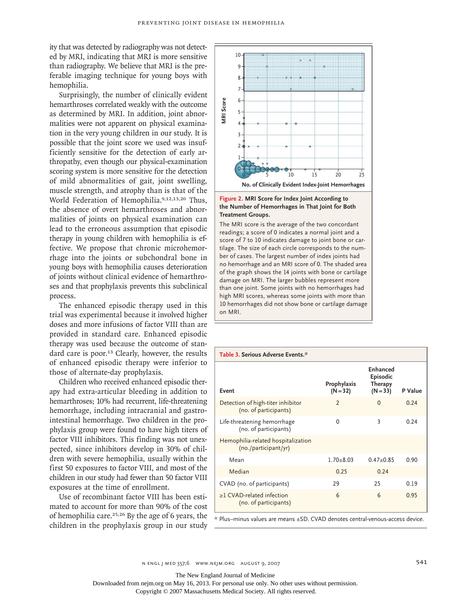ity that was detected by radiography was not detected by MRI, indicating that MRI is more sensitive than radiography. We believe that MRI is the preferable imaging technique for young boys with hemophilia.

Surprisingly, the number of clinically evident hemarthroses correlated weakly with the outcome as determined by MRI. In addition, joint abnormalities were not apparent on physical examination in the very young children in our study. It is possible that the joint score we used was insufficiently sensitive for the detection of early arthropathy, even though our physical-examination scoring system is more sensitive for the detection of mild abnormalities of gait, joint swelling, muscle strength, and atrophy than is that of the World Federation of Hemophilia.<sup>9,12,13,20</sup> Thus, the absence of overt hemarthroses and abnormalities of joints on physical examination can lead to the erroneous assumption that episodic therapy in young children with hemophilia is effective. We propose that chronic microhemorrhage into the joints or subchondral bone in young boys with hemophilia causes deterioration of joints without clinical evidence of hemarthroses and that prophylaxis prevents this subclinical process.

The enhanced episodic therapy used in this trial was experimental because it involved higher doses and more infusions of factor VIII than are provided in standard care. Enhanced episodic therapy was used because the outcome of standard care is poor.<sup>13</sup> Clearly, however, the results of enhanced episodic therapy were inferior to those of alternate-day prophylaxis.

Children who received enhanced episodic therapy had extra-articular bleeding in addition to hemarthroses; 10% had recurrent, life-threatening hemorrhage, including intracranial and gastrointestinal hemorrhage. Two children in the prophylaxis group were found to have high titers of factor VIII inhibitors. This finding was not unexpected, since inhibitors develop in 30% of children with severe hemophilia, usually within the first 50 exposures to factor VIII, and most of the children in our study had fewer than 50 factor VIII exposures at the time of enrollment.

Use of recombinant factor VIII has been estimated to account for more than 90% of the cost of hemophilia care.<sup>25,26</sup> By the age of 6 years, the children in the prophylaxis group in our study



# the Number of Hemorrhages in That Joint for Both **Treatment Groups. Figure 2. MRI Score for Index Joint According to**

damage on MRI. The larger bubbles represent more readings; a score of 0 indicates a normal joint and a score of 7 to 10 indicates damage to joint bone or car-The MRI score is the average of the two concordant  $t$ ilage. The size of each circle corresponds to the number of cases. The largest number of index joints had **Figure 1.12 Figure 1.12 Figure 1.12 Figure 1.12 Figure 1.12 Figure 1.12 Figure 1.12 Figure 1.12 Figure 1.12 Figure 1.12 Figure 1.12 Figure 1.12 Figure 1.12 Figure 1.12 Figure 1.12 Figure 1.12 Figure 1.12 Figure 1.12 Figur** of the graph shows the 14 joints with bone or cartilage than one joint. Some joints with no hemorrhages had high MRI scores, whereas some joints with more than 10 hemorrhages did not show bone or cartilage damage on MRI.

#### **Table 3. Serious Adverse Events.\***

| Event                                                      | Prophylaxis<br>$(N = 32)$ | Enhanced<br>Episodic<br>Therapy<br>$(N = 33)$ | P Value |
|------------------------------------------------------------|---------------------------|-----------------------------------------------|---------|
| Detection of high-titer inhibitor<br>(no. of participants) | $\overline{\phantom{0}}$  | $\Omega$                                      | 0.24    |
| Life-threatening hemorrhage<br>(no. of participants)       | $\Omega$                  | 3                                             | 0.24    |
| Hemophilia-related hospitalization<br>(no./participant/yr) |                           |                                               |         |
| Mean                                                       | $1.70 + 8.03$             | $0.47 + 0.85$                                 | 0.90    |
| Median                                                     | 0.25                      | 0.24                                          |         |
| CVAD (no. of participants)                                 | 29                        | 25                                            | 0.19    |
| $\geq$ CVAD-related infection<br>(no. of participants)     | 6                         | $6\overline{6}$                               | 0.95    |

\* Plus–minus values are means ±SD. CVAD denotes central-venous-access device.

The New England Journal of Medicine

Downloaded from nejm.org on May 16, 2013. For personal use only. No other uses without permission.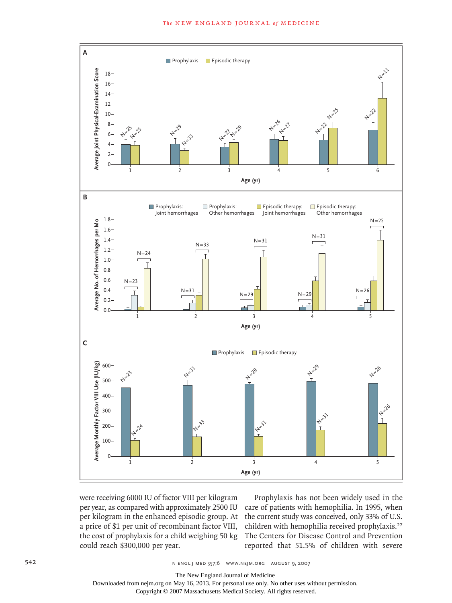

were receiving 6000 IU of factor VIII per kilogram per year, as compared with approximately 2500 IU per kilogram in the enhanced episodic group. At the a price of \$1 per unit of recombinant factor VIII, the cost of prophylaxis for a child weighing 50 kg could reach \$300,000 per year. hbinant factor VI

Prophylaxis has not been widely used in the care of patients with hemophilia. In 1995, when the current study was conceived, only 33% of U.S. children with hemophilia received prophylaxis.<sup>27</sup> The Centers for Disease Control and Prevention r. The reported that 51.5% of children with severe

م engl j med 357;6 www.nejm.org august 9, 2007<br>State in the state of the SS7;6 www.nejm.org august 9, 2007 **AUTHOR**, **AUTHOR, PRESS** 

The New England Journal of Medicine

Downloaded from nejm.org on May 16, 2013. For personal use only. No other uses without permission.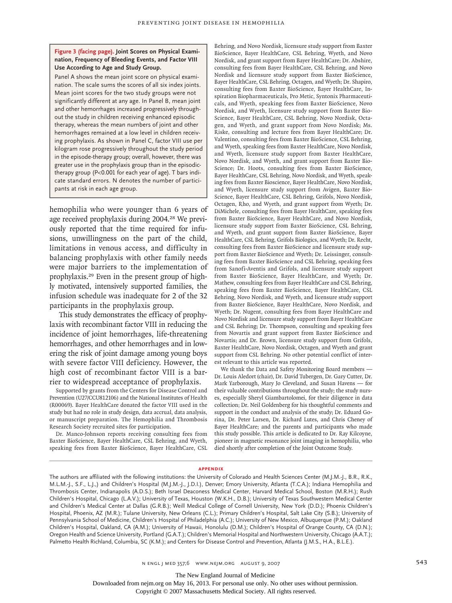#### **Figure 3 (facing page). Joint Scores on Physical Examination, Frequency of Bleeding Events, and Factor VIII Use According to Age and Study Group.**

Panel A shows the mean joint score on physical examination. The scale sums the scores of all six index joints. Mean joint scores for the two study groups were not significantly different at any age. In Panel B, mean joint and other hemorrhages increased progressively throughout the study in children receiving enhanced episodic therapy, whereas the mean numbers of joint and other hemorrhages remained at a low level in children receiving prophylaxis. As shown in Panel C, factor VIII use per kilogram rose progressively throughout the study period in the episode-therapy group; overall, however, there was greater use in the prophylaxis group than in the episodictherapy group (P<0.001 for each year of age). T bars indicate standard errors. N denotes the number of participants at risk in each age group.

hemophilia who were younger than 6 years of age received prophylaxis during 2004.<sup>28</sup> We previously reported that the time required for infusions, unwillingness on the part of the child, limitations in venous access, and difficulty in balancing prophylaxis with other family needs were major barriers to the implementation of prophylaxis.29 Even in the present group of highly motivated, intensively supported families, the infusion schedule was inadequate for 2 of the 32 participants in the prophylaxis group.

This study demonstrates the efficacy of prophylaxis with recombinant factor VIII in reducing the incidence of joint hemorrhages, life-threatening hemorrhages, and other hemorrhages and in lowering the risk of joint damage among young boys with severe factor VIII deficiency. However, the high cost of recombinant factor VIII is a barrier to widespread acceptance of prophylaxis.

Supported by grants from the Centers for Disease Control and Prevention (U27/CCU812106) and the National Institutes of Health (R00069). Bayer HealthCare donated the factor VIII used in the study but had no role in study design, data accrual, data analysis, or manuscript preparation. The Hemophilia and Thrombosis Research Society recruited sites for participation.

Dr. Manco-Johnson reports receiving consulting fees from Baxter BioScience, Bayer HealthCare, CSL Behring, and Wyeth, speaking fees from Baxter BioScience, Bayer HealthCare, CSL

Behring, and Novo Nordisk, licensure study support from Baxter BioScience, Bayer HealthCare, CSL Behring, Wyeth, and Novo Nordisk, and grant support from Bayer HealthCare; Dr. Abshire, consulting fees from Bayer HealthCare, CSL Behring, and Novo Nordisk and licensure study support from Baxter BioScience, Bayer HealthCare, CSL Behring, Octagen, and Wyeth; Dr. Shapiro, consulting fees from Baxter BioScience, Bayer HealthCare, Inspiration Biopharmaceuticals, Pro Metic, Syntonix Pharmaceuticals, and Wyeth, speaking fees from Baxter BioScience, Novo Nordisk, and Wyeth, licensure study support from Baxter Bio-Science, Bayer HealthCare, CSL Behring, Novo Nordisk, Octagen, and Wyeth, and grant support from Novo Nordisk; Ms. Riske, consulting and lecture fees from Bayer HealthCare; Dr. Valentino, consulting fees from Baxter BioScience, CSL Behring, and Wyeth, speaking fees from Baxter HealthCare, Novo Nordisk, and Wyeth, licensure study support from Baxter HealthCare, Novo Nordisk, and Wyeth, and grant support from Baxter Bio-Science; Dr. Hoots, consulting fees from Baxter BioScience, Bayer HealthCare, CSL Behring, Novo Nordisk, and Wyeth, speaking fees from Baxter Bioscience, Bayer HealthCare, Novo Nordisk, and Wyeth, licensure study support from Avigen, Baxter Bio-Science, Bayer HealthCare, CSL Behring, Grifols, Novo Nordisk, Octagen, Rho, and Wyeth, and grant support from Wyeth; Dr. DiMichele, consulting fees from Bayer HealthCare, speaking fees from Baxter BioScience, Bayer HealthCare, and Novo Nordisk, licensure study support from Baxter BioScience, CSL Behring, and Wyeth, and grant support from Baxter BioScience, Bayer HealthCare, CSL Behring, Grifols Biologics, and Wyeth; Dr. Recht, consulting fees from Baxter BioScience and licensure study support from Baxter BioScience and Wyeth; Dr. Leissinger, consulting fees from Baxter BioScience and CSL Behring, speaking fees from Sanofi-Aventis and Grifols, and licensure study support from Baxter BioScience, Bayer HealthCare, and Wyeth; Dr. Mathew, consulting fees from Bayer HealthCare and CSL Behring, speaking fees from Baxter BioScience, Bayer HealthCare, CSL Behring, Novo Nordisk, and Wyeth, and licensure study support from Baxter BioScience, Bayer HealthCare, Novo Nordisk, and Wyeth; Dr. Nugent, consulting fees from Bayer HealthCare and Novo Nordisk and licensure study support from Bayer HealthCare and CSL Behring; Dr. Thompson, consulting and speaking fees from Novartis and grant support from Baxter BioScience and Novartis; and Dr. Brown, licensure study support from Grifols, Baxter HealthCare, Novo Nordisk, Octagen, and Wyeth and grant support from CSL Behring. No other potential conflict of interest relevant to this article was reported.

We thank the Data and Safety Monitoring Board members — Dr. Louis Aledort (chair), Dr. David Tubergen, Dr. Gary Cutter, Dr. Mark Yarborough, Mary Jo Cleveland, and Susan Havens — for their valuable contributions throughout the study; the study nurses, especially Sheryl Giambartolomei, for their diligence in data collection; Dr. Neil Goldenberg for his thoughtful comments and support in the conduct and analysis of the study; Dr. Eduard Gorina, Dr. Peter Larsen, Dr. Richard Lutes, and Chris Cheney of Bayer HealthCare; and the parents and participants who made this study possible. This article is dedicated to Dr. Ray Kilcoyne, pioneer in magnetic resonance joint imaging in hemophilia, who died shortly after completion of the Joint Outcome Study.

#### **appendix**

The authors are affiliated with the following institutions: the University of Colorado and Health Sciences Center (M.J.M.-J., B.R., R.K., M.L.M.-J., S.F., L.J.,) and Children's Hospital (M.J.M.-J., J.D.I.), Denver; Emory University, Atlanta (T.C.A.); Indiana Hemophilia and Thrombosis Center, Indianapolis (A.D.S.); Beth Israel Deaconess Medical Center, Harvard Medical School, Boston (M.R.H.); Rush Children's Hospital, Chicago (L.A.V.); University of Texas, Houston (W.K.H., D.B.); University of Texas Southwestern Medical Center and Children's Medical Center at Dallas (G.R.B.); Weill Medical College of Cornell University, New York (D.D.); Phoenix Children's Hospital, Phoenix, AZ (M.R.); Tulane University, New Orleans (C.L.); Primary Children's Hospital, Salt Lake City (S.B.); University of Pennsylvania School of Medicine, Children's Hospital of Philadelphia (A.C.); University of New Mexico, Albuquerque (P.M.); Oakland Children's Hospital, Oakland, CA (A.M.); University of Hawaii, Honolulu (D.M.); Children's Hospital of Orange County, CA (D.N.); Oregon Health and Science University, Portland (G.A.T.); Children's Memorial Hospital and Northwestern University, Chicago (A.A.T.); Palmetto Health Richland, Columbia, SC (K.M.); and Centers for Disease Control and Prevention, Atlanta (J.M.S., H.A., B.L.E.).

The New England Journal of Medicine

Downloaded from nejm.org on May 16, 2013. For personal use only. No other uses without permission.